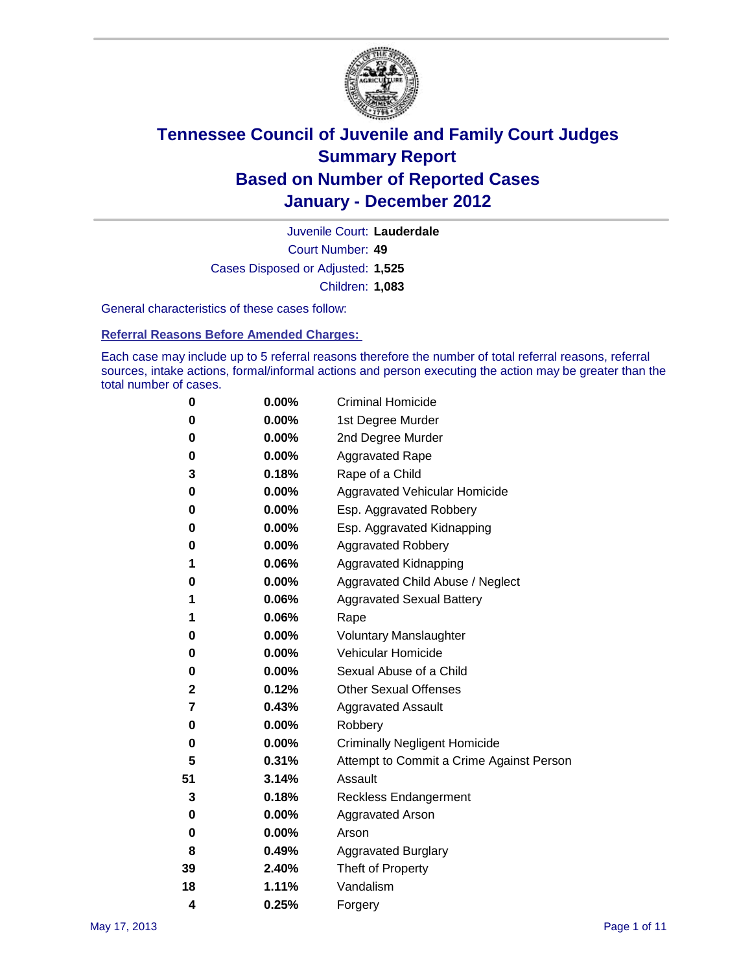

Court Number: **49** Juvenile Court: **Lauderdale** Cases Disposed or Adjusted: **1,525** Children: **1,083**

General characteristics of these cases follow:

**Referral Reasons Before Amended Charges:** 

Each case may include up to 5 referral reasons therefore the number of total referral reasons, referral sources, intake actions, formal/informal actions and person executing the action may be greater than the total number of cases.

| 0  | 0.00%    | <b>Criminal Homicide</b>                 |
|----|----------|------------------------------------------|
| 0  | 0.00%    | 1st Degree Murder                        |
| 0  | 0.00%    | 2nd Degree Murder                        |
| 0  | 0.00%    | <b>Aggravated Rape</b>                   |
| 3  | 0.18%    | Rape of a Child                          |
| 0  | 0.00%    | Aggravated Vehicular Homicide            |
| 0  | 0.00%    | Esp. Aggravated Robbery                  |
| 0  | 0.00%    | Esp. Aggravated Kidnapping               |
| 0  | 0.00%    | <b>Aggravated Robbery</b>                |
| 1  | 0.06%    | Aggravated Kidnapping                    |
| 0  | 0.00%    | Aggravated Child Abuse / Neglect         |
| 1  | 0.06%    | <b>Aggravated Sexual Battery</b>         |
| 1  | 0.06%    | Rape                                     |
| 0  | $0.00\%$ | <b>Voluntary Manslaughter</b>            |
| 0  | 0.00%    | Vehicular Homicide                       |
| 0  | 0.00%    | Sexual Abuse of a Child                  |
| 2  | 0.12%    | <b>Other Sexual Offenses</b>             |
| 7  | 0.43%    | <b>Aggravated Assault</b>                |
| 0  | $0.00\%$ | Robbery                                  |
| 0  | 0.00%    | <b>Criminally Negligent Homicide</b>     |
| 5  | 0.31%    | Attempt to Commit a Crime Against Person |
| 51 | 3.14%    | Assault                                  |
| 3  | 0.18%    | <b>Reckless Endangerment</b>             |
| 0  | 0.00%    | <b>Aggravated Arson</b>                  |
| 0  | 0.00%    | Arson                                    |
| 8  | 0.49%    | <b>Aggravated Burglary</b>               |
| 39 | 2.40%    | Theft of Property                        |
| 18 | 1.11%    | Vandalism                                |
| 4  | 0.25%    | Forgery                                  |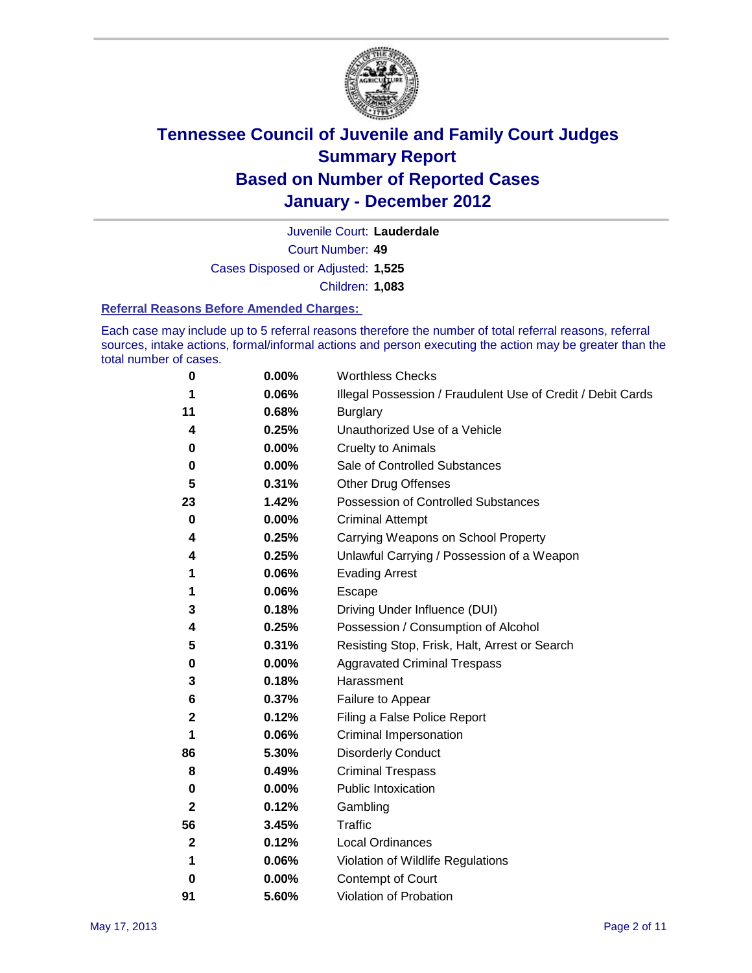

Court Number: **49** Juvenile Court: **Lauderdale** Cases Disposed or Adjusted: **1,525** Children: **1,083**

#### **Referral Reasons Before Amended Charges:**

Each case may include up to 5 referral reasons therefore the number of total referral reasons, referral sources, intake actions, formal/informal actions and person executing the action may be greater than the total number of cases.

| 0  | 0.00% | <b>Worthless Checks</b>                                     |
|----|-------|-------------------------------------------------------------|
| 1  | 0.06% | Illegal Possession / Fraudulent Use of Credit / Debit Cards |
| 11 | 0.68% | <b>Burglary</b>                                             |
| 4  | 0.25% | Unauthorized Use of a Vehicle                               |
| 0  | 0.00% | <b>Cruelty to Animals</b>                                   |
| 0  | 0.00% | Sale of Controlled Substances                               |
| 5  | 0.31% | <b>Other Drug Offenses</b>                                  |
| 23 | 1.42% | <b>Possession of Controlled Substances</b>                  |
| 0  | 0.00% | <b>Criminal Attempt</b>                                     |
| 4  | 0.25% | Carrying Weapons on School Property                         |
| 4  | 0.25% | Unlawful Carrying / Possession of a Weapon                  |
| 1  | 0.06% | <b>Evading Arrest</b>                                       |
| 1  | 0.06% | Escape                                                      |
| 3  | 0.18% | Driving Under Influence (DUI)                               |
| 4  | 0.25% | Possession / Consumption of Alcohol                         |
| 5  | 0.31% | Resisting Stop, Frisk, Halt, Arrest or Search               |
| 0  | 0.00% | <b>Aggravated Criminal Trespass</b>                         |
| 3  | 0.18% | Harassment                                                  |
| 6  | 0.37% | Failure to Appear                                           |
| 2  | 0.12% | Filing a False Police Report                                |
| 1  | 0.06% | Criminal Impersonation                                      |
| 86 | 5.30% | <b>Disorderly Conduct</b>                                   |
| 8  | 0.49% | <b>Criminal Trespass</b>                                    |
| 0  | 0.00% | <b>Public Intoxication</b>                                  |
| 2  | 0.12% | Gambling                                                    |
| 56 | 3.45% | <b>Traffic</b>                                              |
| 2  | 0.12% | <b>Local Ordinances</b>                                     |
| 1  | 0.06% | Violation of Wildlife Regulations                           |
| 0  | 0.00% | Contempt of Court                                           |
| 91 | 5.60% | Violation of Probation                                      |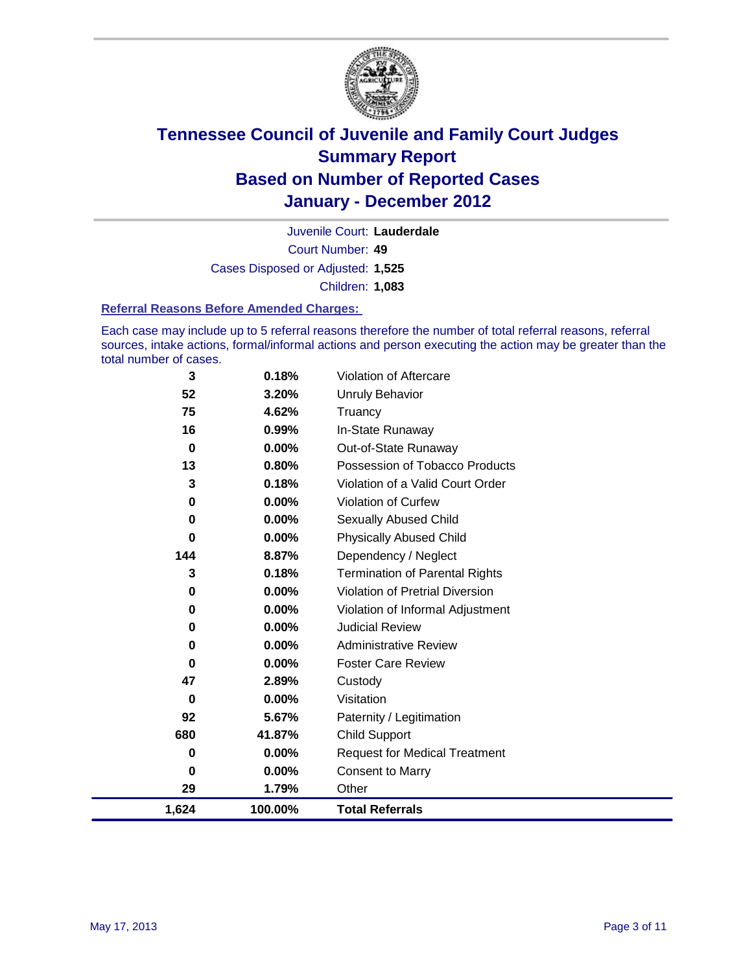

Court Number: **49** Juvenile Court: **Lauderdale** Cases Disposed or Adjusted: **1,525** Children: **1,083**

#### **Referral Reasons Before Amended Charges:**

Each case may include up to 5 referral reasons therefore the number of total referral reasons, referral sources, intake actions, formal/informal actions and person executing the action may be greater than the total number of cases.

| 3           | 0.18%    | Violation of Aftercare                 |
|-------------|----------|----------------------------------------|
| 52          | 3.20%    | <b>Unruly Behavior</b>                 |
| 75          | 4.62%    | Truancy                                |
| 16          | 0.99%    | In-State Runaway                       |
| $\mathbf 0$ | $0.00\%$ | Out-of-State Runaway                   |
| 13          | 0.80%    | Possession of Tobacco Products         |
| 3           | 0.18%    | Violation of a Valid Court Order       |
| 0           | 0.00%    | <b>Violation of Curfew</b>             |
| 0           | 0.00%    | Sexually Abused Child                  |
| $\bf{0}$    | 0.00%    | <b>Physically Abused Child</b>         |
| 144         | 8.87%    | Dependency / Neglect                   |
| 3           | 0.18%    | <b>Termination of Parental Rights</b>  |
| 0           | 0.00%    | <b>Violation of Pretrial Diversion</b> |
| 0           | 0.00%    | Violation of Informal Adjustment       |
| 0           | 0.00%    | <b>Judicial Review</b>                 |
| 0           | 0.00%    | <b>Administrative Review</b>           |
| 0           | 0.00%    | <b>Foster Care Review</b>              |
| 47          | 2.89%    | Custody                                |
| 0           | 0.00%    | Visitation                             |
| 92          | 5.67%    | Paternity / Legitimation               |
| 680         | 41.87%   | <b>Child Support</b>                   |
| 0           | 0.00%    | <b>Request for Medical Treatment</b>   |
| 0           | 0.00%    | <b>Consent to Marry</b>                |
| 29          | 1.79%    | Other                                  |
| 1,624       | 100.00%  | <b>Total Referrals</b>                 |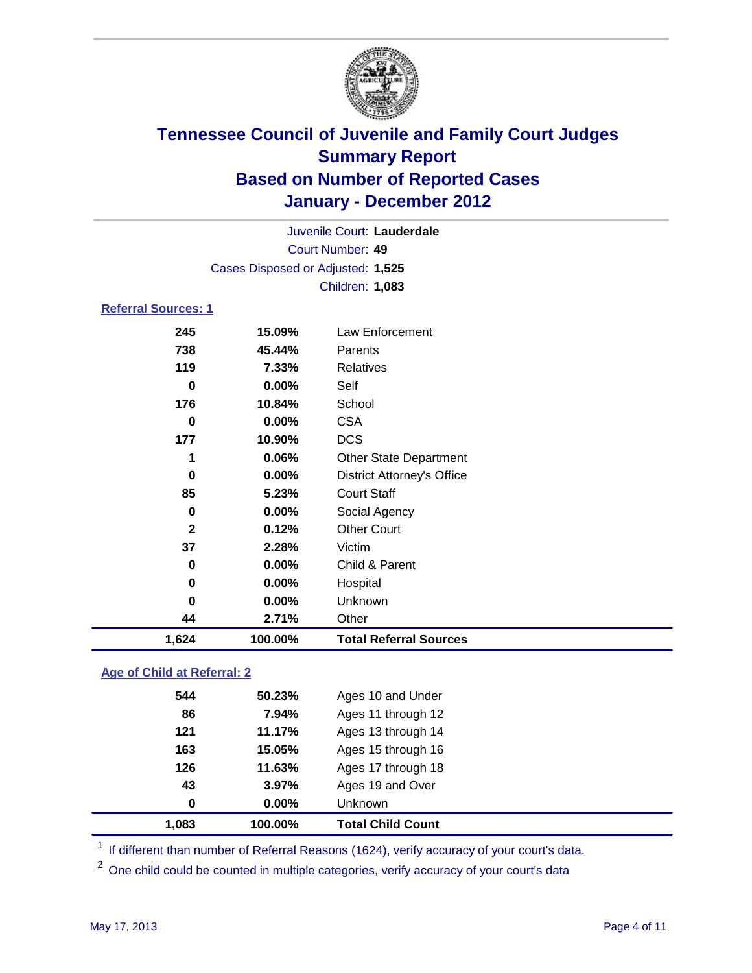

|                            | Juvenile Court: Lauderdale        |                                   |  |  |
|----------------------------|-----------------------------------|-----------------------------------|--|--|
|                            | Court Number: 49                  |                                   |  |  |
|                            | Cases Disposed or Adjusted: 1,525 |                                   |  |  |
| Children: 1,083            |                                   |                                   |  |  |
| <b>Referral Sources: 1</b> |                                   |                                   |  |  |
| 245                        | 15.09%                            | Law Enforcement                   |  |  |
| 738                        | 45.44%                            | Parents                           |  |  |
| 119                        | 7.33%                             | <b>Relatives</b>                  |  |  |
| 0                          | 0.00%                             | Self                              |  |  |
| 176                        | 10.84%                            | School                            |  |  |
| 0                          | 0.00%                             | <b>CSA</b>                        |  |  |
| 177                        | 10.90%                            | <b>DCS</b>                        |  |  |
| 1                          | 0.06%                             | Other State Department            |  |  |
| 0                          | 0.00%                             | <b>District Attorney's Office</b> |  |  |
| 85                         | 5.23%                             | <b>Court Staff</b>                |  |  |
| 0                          | 0.00%                             | Social Agency                     |  |  |
| $\mathbf{2}$               | 0.12%                             | <b>Other Court</b>                |  |  |
| 37                         | 2.28%                             | Victim                            |  |  |
| 0                          | 0.00%                             | Child & Parent                    |  |  |
| 0                          | 0.00%                             | Hospital                          |  |  |
| 0                          | 0.00%                             | Unknown                           |  |  |
| 44                         | 2.71%                             | Other                             |  |  |
| 1,624                      | 100.00%                           | <b>Total Referral Sources</b>     |  |  |

### **Age of Child at Referral: 2**

| 43<br>$\bf{0}$ | 3.97%<br>0.00% | Ages 19 and Over<br>Unknown |
|----------------|----------------|-----------------------------|
|                |                |                             |
|                |                |                             |
| 126            |                | Ages 17 through 18          |
| 163            | 15.05%         | Ages 15 through 16          |
| 121            | 11.17%         | Ages 13 through 14          |
| 86             | 7.94%          | Ages 11 through 12          |
| 544            | 50.23%         | Ages 10 and Under           |
|                |                | 11.63%                      |

<sup>1</sup> If different than number of Referral Reasons (1624), verify accuracy of your court's data.

<sup>2</sup> One child could be counted in multiple categories, verify accuracy of your court's data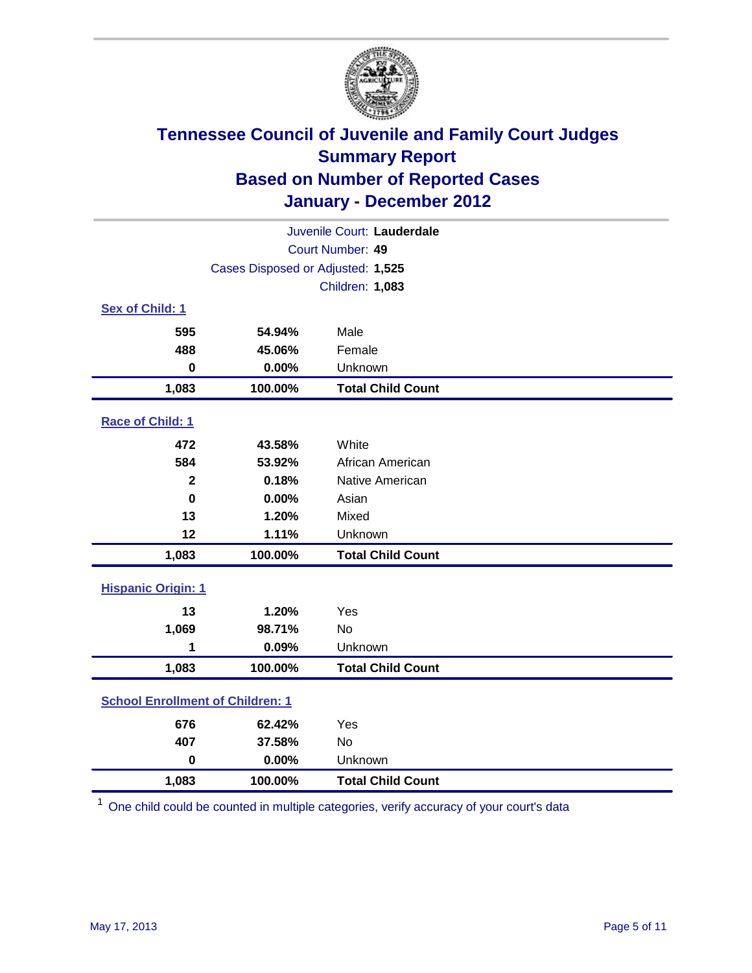

| Juvenile Court: Lauderdale              |                                   |                          |  |  |
|-----------------------------------------|-----------------------------------|--------------------------|--|--|
| Court Number: 49                        |                                   |                          |  |  |
|                                         | Cases Disposed or Adjusted: 1,525 |                          |  |  |
|                                         |                                   | Children: 1,083          |  |  |
| Sex of Child: 1                         |                                   |                          |  |  |
| 595                                     | 54.94%                            | Male                     |  |  |
| 488                                     | 45.06%                            | Female                   |  |  |
| $\mathbf 0$                             | 0.00%                             | Unknown                  |  |  |
| 1,083                                   | 100.00%                           | <b>Total Child Count</b> |  |  |
| Race of Child: 1                        |                                   |                          |  |  |
| 472                                     | 43.58%                            | White                    |  |  |
| 584                                     | 53.92%                            | African American         |  |  |
| $\mathbf{2}$                            | 0.18%                             | Native American          |  |  |
| $\mathbf 0$                             | 0.00%                             | Asian                    |  |  |
| 13                                      | 1.20%                             | Mixed                    |  |  |
| 12                                      | 1.11%                             | Unknown                  |  |  |
| 1,083                                   | 100.00%                           | <b>Total Child Count</b> |  |  |
| <b>Hispanic Origin: 1</b>               |                                   |                          |  |  |
| 13                                      | 1.20%                             | Yes                      |  |  |
| 1,069                                   | 98.71%                            | No                       |  |  |
| 1                                       | 0.09%                             | Unknown                  |  |  |
| 1,083                                   | 100.00%                           | <b>Total Child Count</b> |  |  |
| <b>School Enrollment of Children: 1</b> |                                   |                          |  |  |
| 676                                     | 62.42%                            | Yes                      |  |  |
| 407                                     | 37.58%                            | No                       |  |  |
| $\mathbf 0$                             | 0.00%                             | Unknown                  |  |  |
| 1,083                                   | 100.00%                           | <b>Total Child Count</b> |  |  |

<sup>1</sup> One child could be counted in multiple categories, verify accuracy of your court's data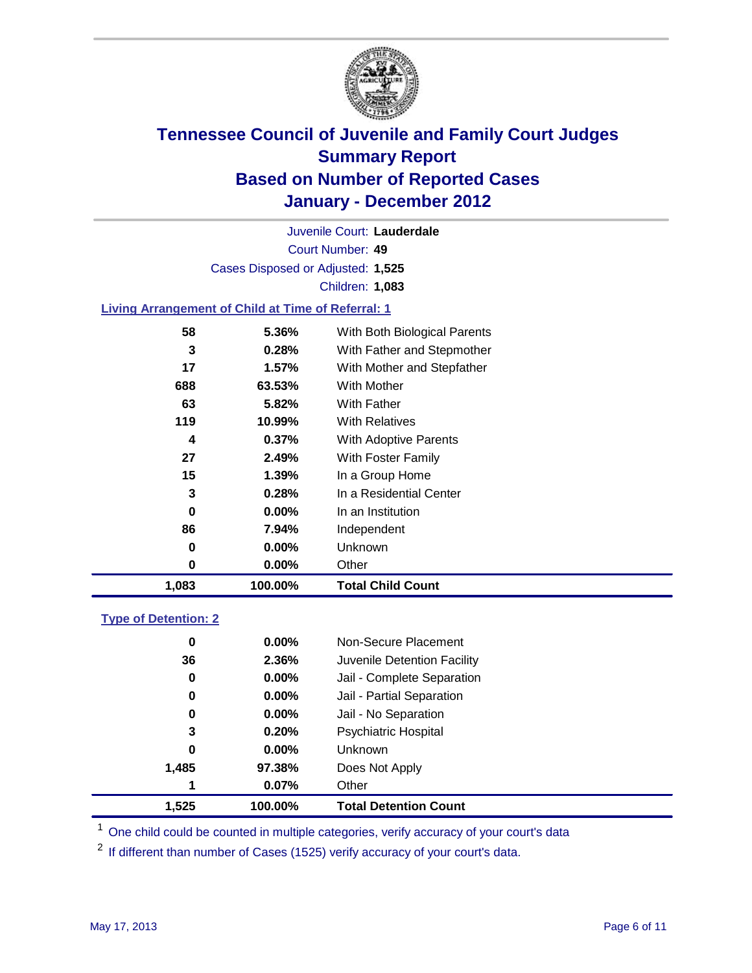

Court Number: **49** Juvenile Court: **Lauderdale** Cases Disposed or Adjusted: **1,525** Children: **1,083**

### **Living Arrangement of Child at Time of Referral: 1**

| 1,083 | 100.00%  | <b>Total Child Count</b>     |
|-------|----------|------------------------------|
| 0     | $0.00\%$ | Other                        |
| 0     | $0.00\%$ | Unknown                      |
| 86    | 7.94%    | Independent                  |
| 0     | $0.00\%$ | In an Institution            |
| 3     | 0.28%    | In a Residential Center      |
| 15    | $1.39\%$ | In a Group Home              |
| 27    | 2.49%    | With Foster Family           |
| 4     | $0.37\%$ | <b>With Adoptive Parents</b> |
| 119   | 10.99%   | <b>With Relatives</b>        |
| 63    | 5.82%    | With Father                  |
| 688   | 63.53%   | <b>With Mother</b>           |
| 17    | $1.57\%$ | With Mother and Stepfather   |
| 3     | 0.28%    | With Father and Stepmother   |
| 58    | 5.36%    | With Both Biological Parents |
|       |          |                              |

#### **Type of Detention: 2**

| 1,525 | 100.00%       | <b>Total Detention Count</b> |
|-------|---------------|------------------------------|
|       | 0.07%<br>1    | Other                        |
| 1,485 | 97.38%        | Does Not Apply               |
|       | 0<br>$0.00\%$ | Unknown                      |
|       | 3<br>0.20%    | <b>Psychiatric Hospital</b>  |
|       | 0.00%<br>0    | Jail - No Separation         |
|       | $0.00\%$<br>0 | Jail - Partial Separation    |
|       | 0.00%<br>0    | Jail - Complete Separation   |
| 36    | 2.36%         | Juvenile Detention Facility  |
|       | 0<br>$0.00\%$ | Non-Secure Placement         |
|       |               |                              |

<sup>1</sup> One child could be counted in multiple categories, verify accuracy of your court's data

<sup>2</sup> If different than number of Cases (1525) verify accuracy of your court's data.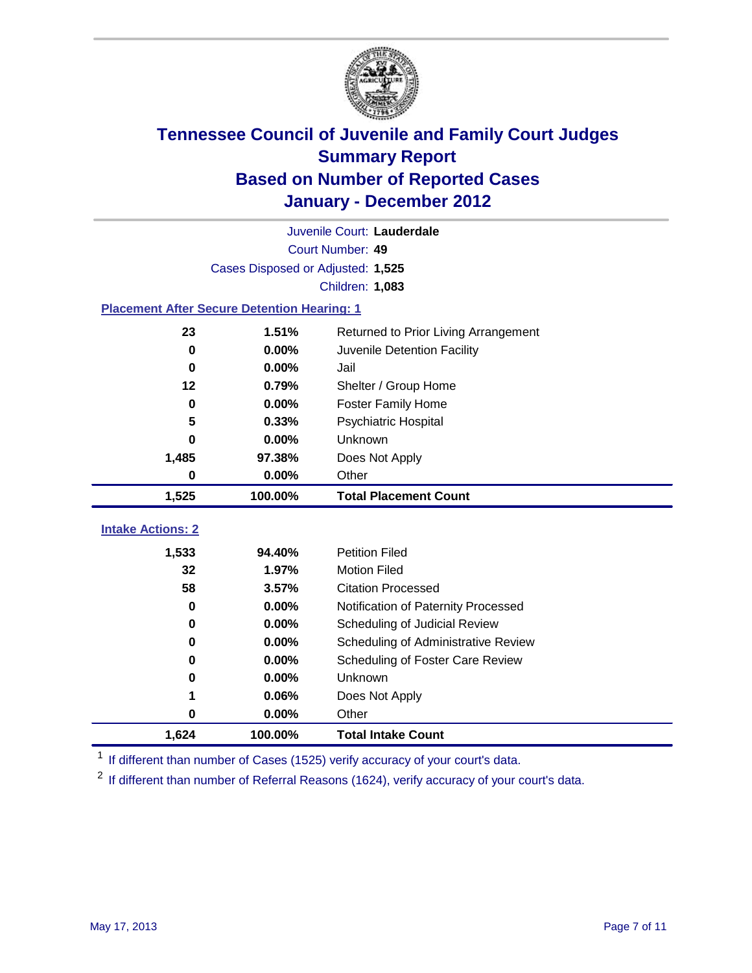

|                                                    | Juvenile Court: Lauderdale           |                                      |  |  |  |
|----------------------------------------------------|--------------------------------------|--------------------------------------|--|--|--|
|                                                    | Court Number: 49                     |                                      |  |  |  |
|                                                    | Cases Disposed or Adjusted: 1,525    |                                      |  |  |  |
|                                                    | Children: 1,083                      |                                      |  |  |  |
| <b>Placement After Secure Detention Hearing: 1</b> |                                      |                                      |  |  |  |
| 23                                                 | 1.51%                                | Returned to Prior Living Arrangement |  |  |  |
| 0                                                  | 0.00%                                | Juvenile Detention Facility          |  |  |  |
| 0                                                  | 0.00%                                | Jail                                 |  |  |  |
| 12                                                 | 0.79%                                | Shelter / Group Home                 |  |  |  |
| 0                                                  | 0.00%                                | <b>Foster Family Home</b>            |  |  |  |
| 5                                                  | 0.33%                                | Psychiatric Hospital                 |  |  |  |
| 0                                                  | 0.00%                                | Unknown                              |  |  |  |
| 1,485                                              | 97.38%                               | Does Not Apply                       |  |  |  |
| 0                                                  | 0.00%                                | Other                                |  |  |  |
| 1,525                                              | 100.00%                              | <b>Total Placement Count</b>         |  |  |  |
|                                                    |                                      |                                      |  |  |  |
| <b>Intake Actions: 2</b>                           |                                      |                                      |  |  |  |
| 1,533                                              | 94.40%                               | <b>Petition Filed</b>                |  |  |  |
| 32                                                 | 1.97%                                | <b>Motion Filed</b>                  |  |  |  |
| 58                                                 | 3.57%                                | <b>Citation Processed</b>            |  |  |  |
| 0                                                  | 0.00%                                | Notification of Paternity Processed  |  |  |  |
| $\bf{0}$                                           | 0.00%                                | Scheduling of Judicial Review        |  |  |  |
| 0                                                  | 0.00%                                | Scheduling of Administrative Review  |  |  |  |
| 0                                                  | 0.00%                                | Scheduling of Foster Care Review     |  |  |  |
| 0                                                  | 0.00%                                | Unknown                              |  |  |  |
| 1                                                  | 0.06%                                | Does Not Apply                       |  |  |  |
| $\pmb{0}$                                          | 0.00%                                | Other                                |  |  |  |
| 1,624                                              | 100.00%<br><b>Total Intake Count</b> |                                      |  |  |  |

<sup>1</sup> If different than number of Cases (1525) verify accuracy of your court's data.

<sup>2</sup> If different than number of Referral Reasons (1624), verify accuracy of your court's data.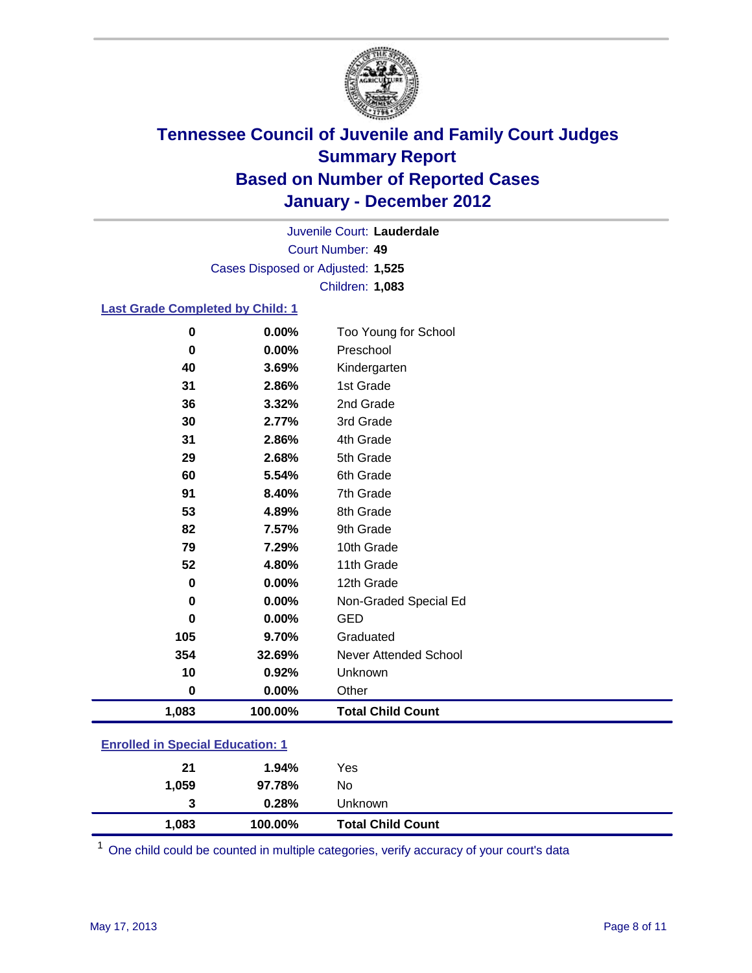

Court Number: **49** Juvenile Court: **Lauderdale** Cases Disposed or Adjusted: **1,525** Children: **1,083**

### **Last Grade Completed by Child: 1**

| $\bf{0}$                                | 0.00%   | Too Young for School         |  |
|-----------------------------------------|---------|------------------------------|--|
| 0                                       | 0.00%   | Preschool                    |  |
| 40                                      | 3.69%   | Kindergarten                 |  |
| 31                                      | 2.86%   | 1st Grade                    |  |
| 36                                      | 3.32%   | 2nd Grade                    |  |
| 30                                      | 2.77%   | 3rd Grade                    |  |
| 31                                      | 2.86%   | 4th Grade                    |  |
| 29                                      | 2.68%   | 5th Grade                    |  |
| 60                                      | 5.54%   | 6th Grade                    |  |
| 91                                      | 8.40%   | 7th Grade                    |  |
| 53                                      | 4.89%   | 8th Grade                    |  |
| 82                                      | 7.57%   | 9th Grade                    |  |
| 79                                      | 7.29%   | 10th Grade                   |  |
| 52                                      | 4.80%   | 11th Grade                   |  |
| $\mathbf 0$                             | 0.00%   | 12th Grade                   |  |
| $\bf{0}$                                | 0.00%   | Non-Graded Special Ed        |  |
| $\bf{0}$                                | 0.00%   | <b>GED</b>                   |  |
| 105                                     | 9.70%   | Graduated                    |  |
| 354                                     | 32.69%  | <b>Never Attended School</b> |  |
| 10                                      | 0.92%   | Unknown                      |  |
| $\bf{0}$                                | 0.00%   | Other                        |  |
| 1,083                                   | 100.00% | <b>Total Child Count</b>     |  |
| <b>Enrolled in Special Education: 1</b> |         |                              |  |

| 1,083         | 100.00% | <b>Total Child Count</b> |
|---------------|---------|--------------------------|
| 3             | 0.28%   | Unknown                  |
| 1,059         | 97.78%  | No                       |
| 21            | 1.94%   | Yes                      |
| ------------- |         |                          |

One child could be counted in multiple categories, verify accuracy of your court's data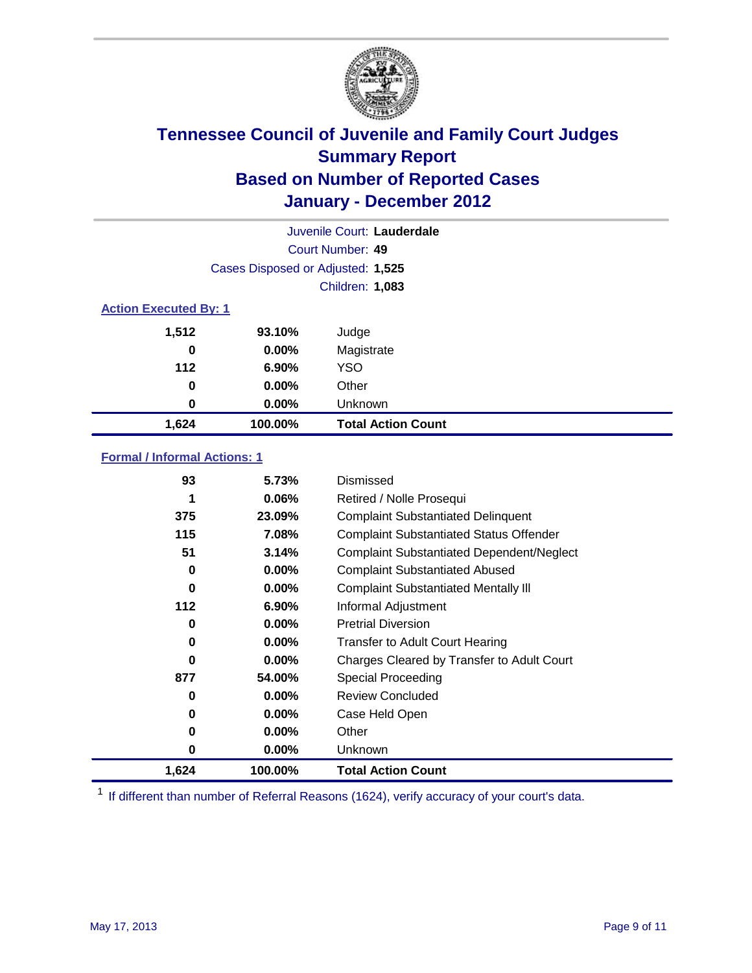

| Juvenile Court: Lauderdale |                                   |                           |  |  |  |
|----------------------------|-----------------------------------|---------------------------|--|--|--|
|                            | Court Number: 49                  |                           |  |  |  |
|                            | Cases Disposed or Adjusted: 1,525 |                           |  |  |  |
|                            | Children: 1,083                   |                           |  |  |  |
|                            | <b>Action Executed By: 1</b>      |                           |  |  |  |
| 1,512                      | 93.10%                            | Judge                     |  |  |  |
| 0                          | $0.00\%$                          | Magistrate                |  |  |  |
| $112$                      | $6.90\%$                          | <b>YSO</b>                |  |  |  |
| 0                          | $0.00\%$                          | Other                     |  |  |  |
| $\bf{0}$                   | 0.00%                             | Unknown                   |  |  |  |
| 1,624                      | 100.00%                           | <b>Total Action Count</b> |  |  |  |

### **Formal / Informal Actions: 1**

| 93       | 5.73%    | Dismissed                                        |
|----------|----------|--------------------------------------------------|
| 1        | $0.06\%$ | Retired / Nolle Prosequi                         |
| 375      | 23.09%   | <b>Complaint Substantiated Delinquent</b>        |
| 115      | 7.08%    | <b>Complaint Substantiated Status Offender</b>   |
| 51       | 3.14%    | <b>Complaint Substantiated Dependent/Neglect</b> |
| 0        | $0.00\%$ | <b>Complaint Substantiated Abused</b>            |
| $\bf{0}$ | $0.00\%$ | <b>Complaint Substantiated Mentally III</b>      |
| 112      | $6.90\%$ | Informal Adjustment                              |
| 0        | $0.00\%$ | <b>Pretrial Diversion</b>                        |
| 0        | $0.00\%$ | <b>Transfer to Adult Court Hearing</b>           |
| 0        | $0.00\%$ | Charges Cleared by Transfer to Adult Court       |
| 877      | 54.00%   | Special Proceeding                               |
| 0        | $0.00\%$ | <b>Review Concluded</b>                          |
| 0        | $0.00\%$ | Case Held Open                                   |
| 0        | $0.00\%$ | Other                                            |
| 0        | $0.00\%$ | <b>Unknown</b>                                   |
| 1,624    | 100.00%  | <b>Total Action Count</b>                        |

<sup>1</sup> If different than number of Referral Reasons (1624), verify accuracy of your court's data.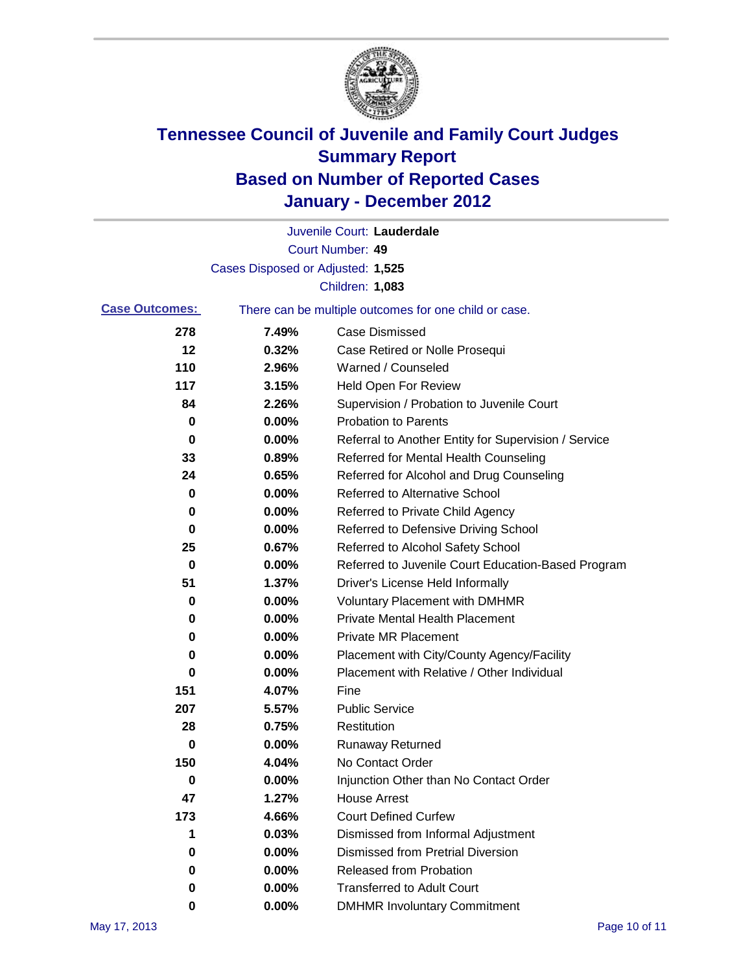

|                       |                                   | Juvenile Court: Lauderdale                            |
|-----------------------|-----------------------------------|-------------------------------------------------------|
|                       |                                   | Court Number: 49                                      |
|                       | Cases Disposed or Adjusted: 1,525 |                                                       |
|                       |                                   | Children: 1,083                                       |
| <b>Case Outcomes:</b> |                                   | There can be multiple outcomes for one child or case. |
| 278                   | 7.49%                             | Case Dismissed                                        |
| 12                    | 0.32%                             | Case Retired or Nolle Prosequi                        |
| 110                   | 2.96%                             | Warned / Counseled                                    |
| 117                   | 3.15%                             | <b>Held Open For Review</b>                           |
| 84                    | 2.26%                             | Supervision / Probation to Juvenile Court             |
| 0                     | 0.00%                             | <b>Probation to Parents</b>                           |
| 0                     | 0.00%                             | Referral to Another Entity for Supervision / Service  |
| 33                    | 0.89%                             | Referred for Mental Health Counseling                 |
| 24                    | 0.65%                             | Referred for Alcohol and Drug Counseling              |
| 0                     | 0.00%                             | Referred to Alternative School                        |
| 0                     | 0.00%                             | Referred to Private Child Agency                      |
| 0                     | 0.00%                             | Referred to Defensive Driving School                  |
| 25                    | 0.67%                             | Referred to Alcohol Safety School                     |
| 0                     | 0.00%                             | Referred to Juvenile Court Education-Based Program    |
| 51                    | 1.37%                             | Driver's License Held Informally                      |
| 0                     | 0.00%                             | <b>Voluntary Placement with DMHMR</b>                 |
| 0                     | 0.00%                             | <b>Private Mental Health Placement</b>                |
| 0                     | 0.00%                             | <b>Private MR Placement</b>                           |
| 0                     | 0.00%                             | Placement with City/County Agency/Facility            |
| 0                     | 0.00%                             | Placement with Relative / Other Individual            |
| 151                   | 4.07%                             | Fine                                                  |
| 207                   | 5.57%                             | <b>Public Service</b>                                 |
| 28                    | 0.75%                             | Restitution                                           |
| 0                     | 0.00%                             | <b>Runaway Returned</b>                               |
| 150                   | 4.04%                             | No Contact Order                                      |
| 0                     | $0.00\%$                          | Injunction Other than No Contact Order                |
| 47                    | 1.27%                             | <b>House Arrest</b>                                   |
| 173                   | 4.66%                             | <b>Court Defined Curfew</b>                           |
| 1                     | 0.03%                             | Dismissed from Informal Adjustment                    |
| 0                     | 0.00%                             | <b>Dismissed from Pretrial Diversion</b>              |
| 0                     | 0.00%                             | <b>Released from Probation</b>                        |
| 0                     | 0.00%                             | <b>Transferred to Adult Court</b>                     |
| 0                     | $0.00\%$                          | <b>DMHMR Involuntary Commitment</b>                   |